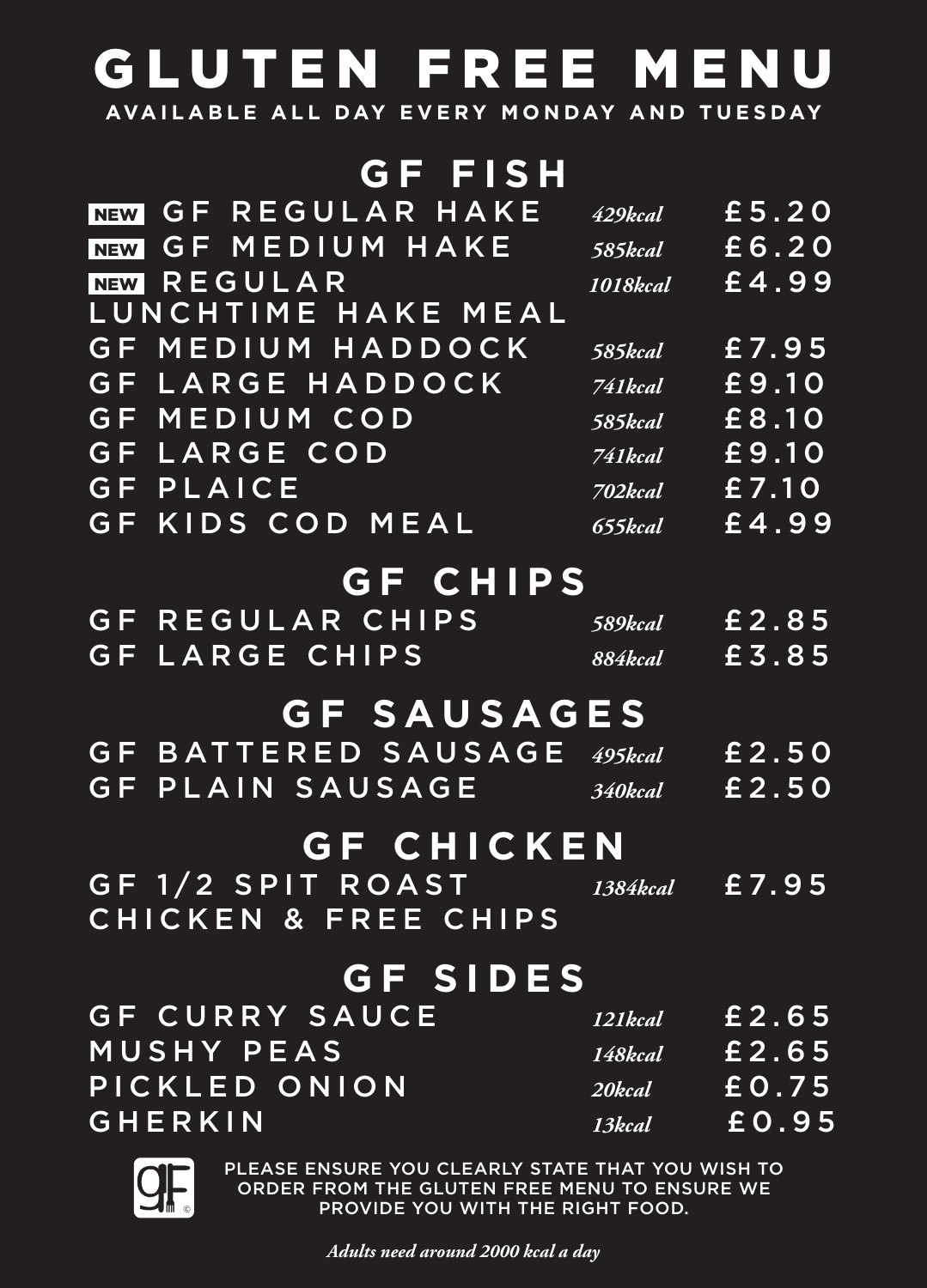## GLUTEN FREE MENU

**AVAILABLE ALL DAY EVERY MONDAY AND TUESDAY**

| GF FISH                                               |                   |       |
|-------------------------------------------------------|-------------------|-------|
| REGULAR HAKE<br>G F<br><b>NEW</b>                     | 429kcal           | £5.20 |
| MEDIUM HAKE<br>$\mathsf G\,\mathsf F$ .<br><b>NEW</b> | 585kcal           | £6.20 |
| REGULAR<br><b>NEW</b>                                 | 1018kcal          | £4.99 |
| LUNCHTIME HAKE MEAL                                   |                   |       |
| MEDIUM HADDOCK<br>G F                                 | 585kcal           | £7.95 |
| G F<br>LARGE HADDOCK                                  | 741kcal           | £9.10 |
| MEDIUM COD<br>G F                                     | 585kcal           | £8.10 |
| <b>GF LARGE COD</b>                                   | 741kcal           | £9.10 |
| <b>GF PLAICE</b>                                      | 702kcal           | £7.10 |
| <b>GF KIDS COD MEAL</b>                               | 655kcal           | £4.99 |
|                                                       |                   |       |
| <b>GF CHIPS</b>                                       |                   |       |
| GF REGULAR CHIPS                                      | 589kcal           | £2.85 |
| <b>GF LARGE CHIPS</b>                                 | <b>884kcal</b>    | £3.85 |
| <b>GF SAUSAGES</b>                                    |                   |       |
| BATTERED SAUSAGE<br>G F.                              | 495kcal           | £2.50 |
| GF  <br>PLAIN SAUSAGE                                 | 340kcal           | £2.50 |
|                                                       |                   |       |
| <b>GF CHICKEN</b>                                     |                   |       |
| GF 1/2 SPIT ROAST                                     | $1384kcal$ £ 7.95 |       |
| CHICKEN & FREE CHIPS                                  |                   |       |
| <b>GF SIDES</b>                                       |                   |       |
|                                                       |                   |       |
| <b>GF CURRY SAUCE</b>                                 | 121kcal           | £2.65 |
| MUSHY PEAS                                            | 148kcal £2.65     |       |
| PICKLED ONION                                         |                   |       |
| GHERKIN                                               | 13kcal            | £0.95 |

PLEASE ENSURE YOU CLEARLY STATE THAT YOU WISH TO ORDER FROM THE GLUTEN FREE MENU TO ENSURE WE PROVIDE YOU WITH THE RIGHT FOOD.

*Adults need around 2000 kcal a day*